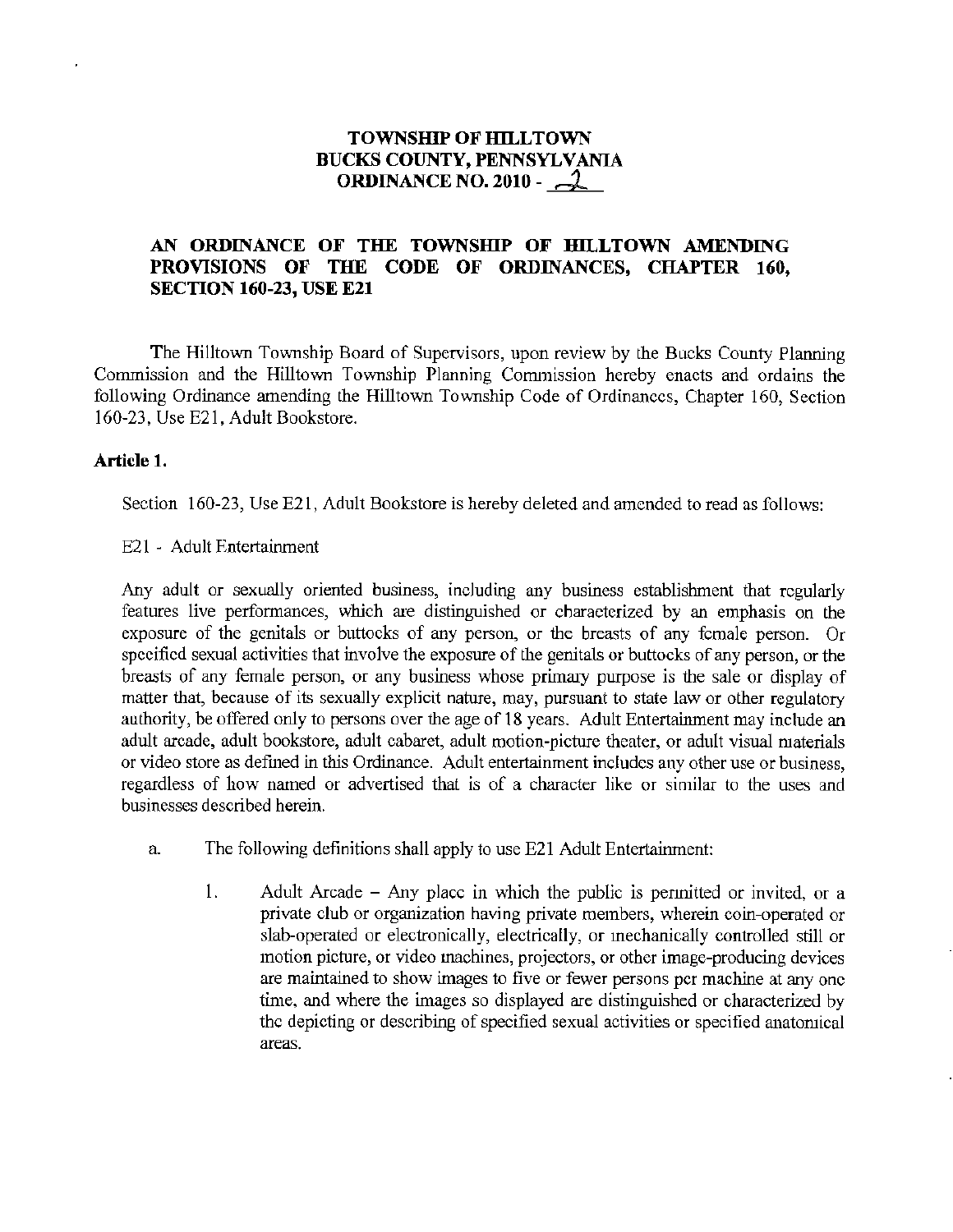## **TOWNSIIlP OF IIlLL TOWN BUCKS COUNTY, PENNSYLVANIA ORDINANCE NO. 2010 -**  $\sim$  **2**

## **AN ORDINANCE OF THE TOWNSIDP OF HILLTOWN AMENDING PROVISIONS OF THE CODE OF ORDINANCES, CHAPTER 160, SECTION 160-23, USE E21**

The Hilltown Township Board of Supervisors, upon review by the Bucks County Planning Commission and the Hilltown Township Planning Conunission hereby enacts and ordains the following Ordinance amending the Hilltown Township Code of Ordinances, Chapter 160, Section 160-23, Use E21, Adult Bookstore.

### **Article 1.**

Section 160-23, Use E21, Adult Bookstore is hereby deleted and amended to read as follows:

E21 - Adult Entertainment

Any adult or sexually oriented business, including any business establishment that regularly features live performances, which are distinguished or characterized by an emphasis on the exposure of the genitals or buttocks of any person, or the breasts of any female person. Or specified sexual activities that involve the exposure of the genitals or buttocks of any person, or the breasts of any female person, or any business whose primary purpose is the sale or display of matter that, because of its sexually explicit nature, may, pursuant to state law or other regulatory authority, be offered only to persons over the age of 18 years. Adult Entertainment may include an adult arcade, adult bookstore, adult cabaret, adult motion-picture theater, or adult visual materials or video store as defined in this Ordinance. Adult entertainment includes any other use or business, regardless of how named or advertised that is of a character like or similar to the uses and businesses described herein.

- a. The following definitions shall apply to use E21 Adult Entertainment:
	- 1. Adult Arcade Any place in which the public is pennitted or invited, or a private club or organization having private members, wherein coin-operated or slab-operated or electronically, electrically, or mechanically controlled still or motion picture, or video machines, projectors, or other image-producing devices are maintained to show images to five or fewer persons per machine at any one time, and where the images so displayed are distinguished or characterized by the depicting or describing of specified sexual activities or specified anatomical areas.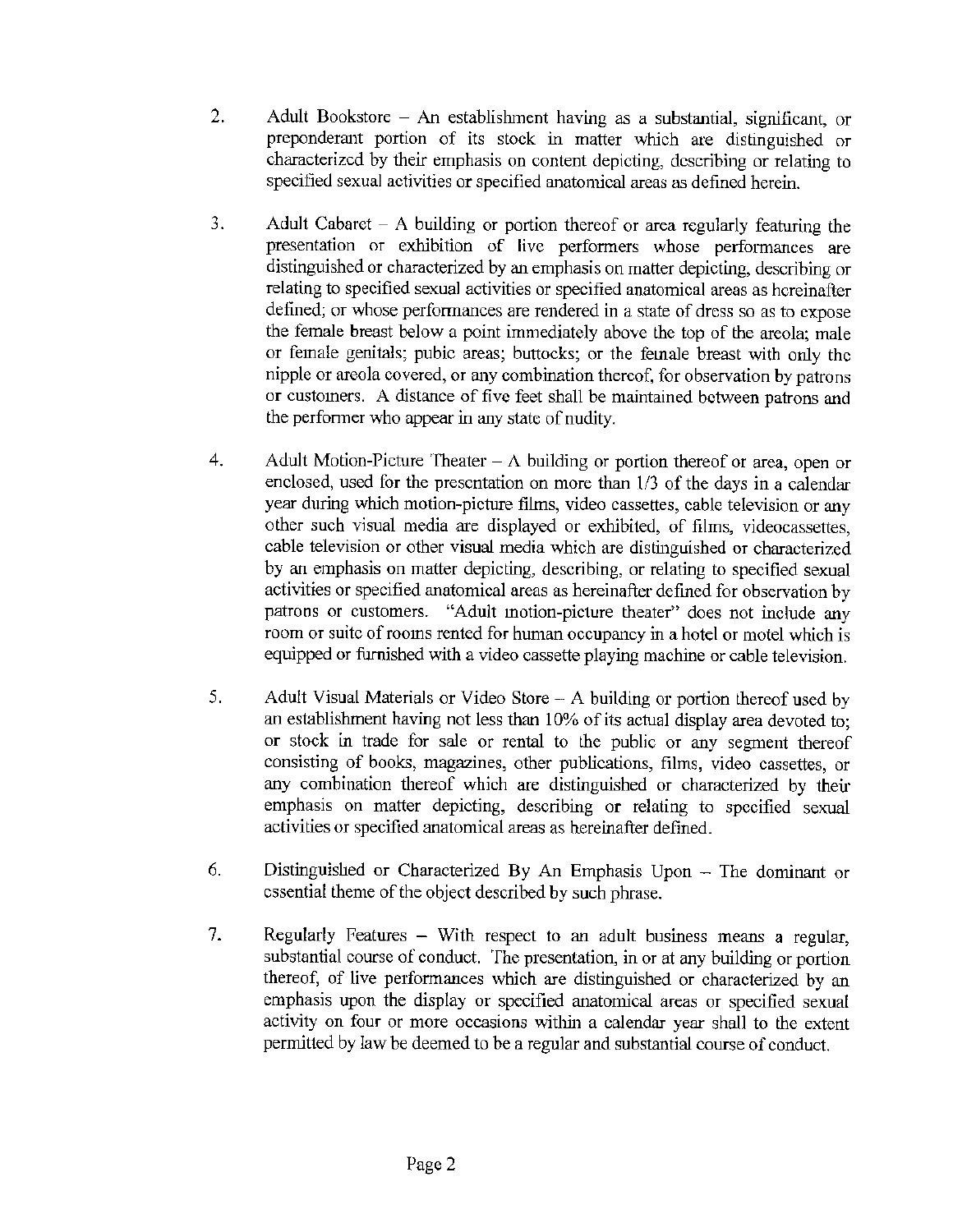- 2. Adult Bookstore An establishment having as a substantial, significant, or preponderant portion of its stock in matter which are distinguished or characterized by their emphasis on content depicting, describing or relating to specified sexual activities or specified anatomical areas as defined herein.
- 3. Adult Cabaret A building or portion thereof or area regularly featuring the presentation or exhibition of live performers whose performances are distinguished or characterized by an emphasis on matter depicting, describing or relating to specified sexual activities or specified anatomical areas as hereinafter defined; or whose performances are rendered in a state of dress so as to expose the female breast below a point immediately above the top of the areola; male or female genitals; pubic areas; buttocks; or the female breast with only the nipple or areola covered, or any combination thereof, for observation by patrons or customers. A distance of five feet shall be maintained between patrons and the performer who appear in any state of nudity.
- 4. Adult Motion-Picture Theater  $-\Lambda$  building or portion thereof or area, open or enclosed, used for the presentation on more than 1/3 of the days in a calendar year during which motion-picture films, video cassettes, cable television or any other such visual media are displayed or exhibited, of films, videocassettes, cable television or other visual media which are distinguished or characterized by an emphasis on matter depicting, describing, or relating to specified sexual activities or specified anatomical areas as hereinafter defined for observation by patrons or customers. "Adult motion-picture theater" does not include any room or suite of rooms rented for human occupancy in a hotel or motel which is equipped or furnished with a video cassette playing machine or cable television.
- 5. Adult Visual Materials or Video Store A building or portion thereof used by an establishment having not less than 10% of its actual display area devoted to; or stock in trade for sale or rental to the public or any segment thereof consisting of books) magazines, other publications, films, video cassettes, or any combination thereof which are distinguished or characterized by their emphasis on matter depicting, describing or relating to specified sexual activities or specified anatomical areas as hereinafter defined.
- 6. Distinguished or Characterized By An Emphasis Upon The dominant or essential theme of the object described by such phrase.
- 7. Regularly Features With respect to an adult business means a regular, substantial course of conduct. The presentation, in or at any building or portion thereof, of live performances which are distinguished or characterized by an emphasis upon the display or specified anatomical areas or specified sexual activity on four or more occasions within a calendar year shall to the extent permitted by law be deemed to be a regular and substantial course of conduct.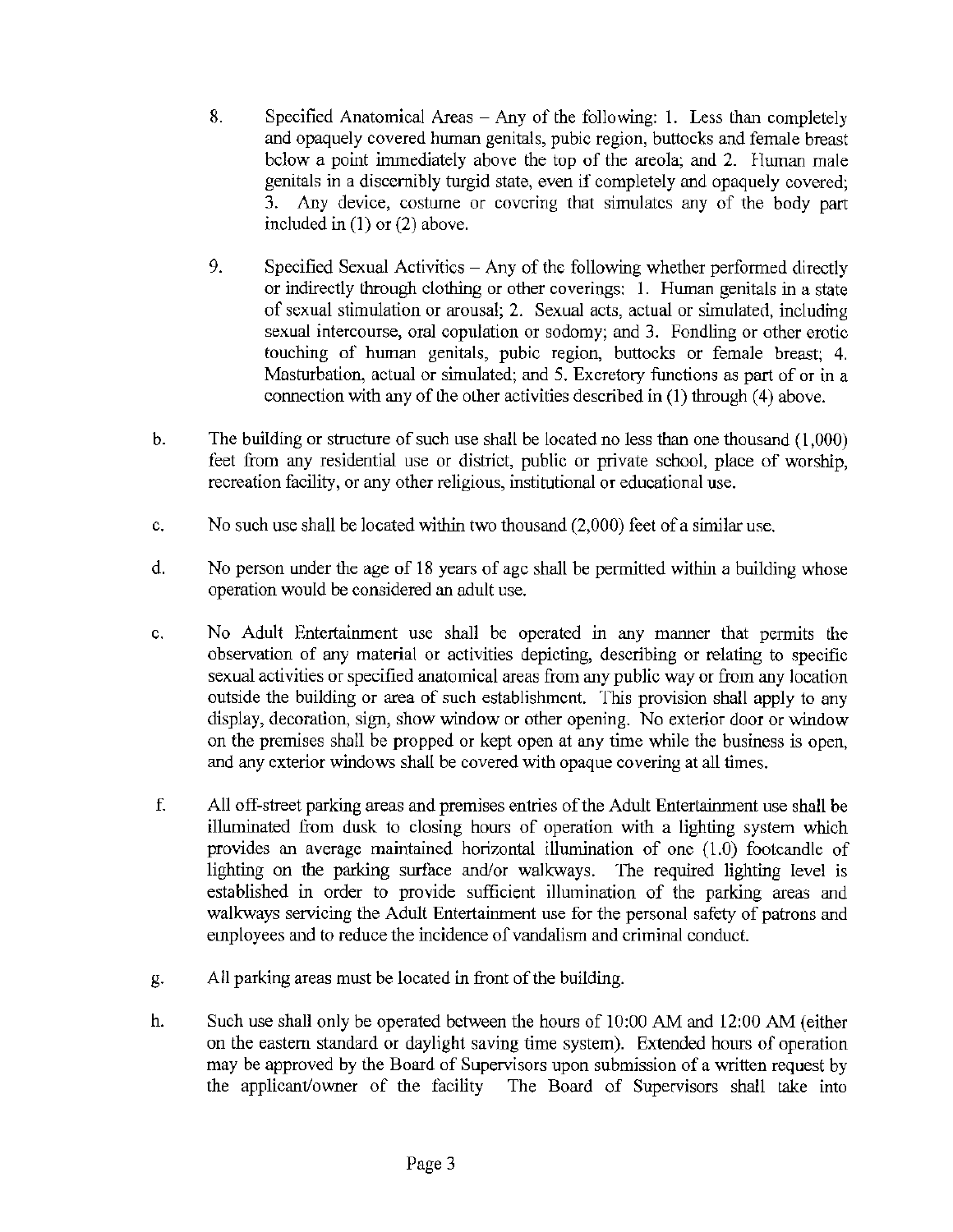- 8. Specified Anatomical Areas  $-$  Any of the following: 1. Less than completely and opaquely covered hwnan genitals, pubic region, buttocks and female breast below a point inunediately above the top of the areola; and 2. Human male genitals in a discernibly turgid state, even if completely and opaquely covered; 3. Any device, costwne or covering that simulates any of the body part included in (1) or (2) above.
- 9. Specified Sexual Activities Any of the following whether performed directly or indirectly through clothing or other coverings: I. Human genitals in a state of sexual stimulation or arousal; 2. Sexual acts, actual or simulated, including sexual intercourse, oral copulation or sodomy; and 3. Fondling or other erotic touching of hwnan genitals, pubic region, buttocks or female breast; 4. Masturbation, actual or simulated; and 5. Excretory functions as part of or in a connection with any of the other activities described in  $(1)$  through  $(4)$  above.
- b. The building or structure of such use shall be located no less than one thousand (1,000) feet from any residential use or district, public or private school, place of worship, recreation facility, or any other religious, institutional or educational use.
- c. No such use shall be located within two thousand (2,000) feet of a similar use.
- d. No person under the age of 18 years of age shall be permitted within a building whose operation would be considered an adult use.
- e. No Adult Entertainment use shall be operated in any manner that permits the observation of any material or activities depicting, describing or relating to specific sexual activities or specified anatomical areas from any public way or from any location outside the building or area of such establishment. This provision shall apply to any display, decoration, sign, show window or other opening. No exterior door or window on the premises shall be propped or kept open at any time while the business is open, and any exterior windows shall be covered with opaque covering at all times.
- f. All off-street parking areas and premises entries of the Adult Entertairunent use shall be illuminated from dusk to closing hours of operation with a lighting system which provides an average maintained horizontal illumination of one (LO) footcandle of lighting on the parking surface and/or walkways. The required lighting level is established in order to provide sufficient illumination of the parking areas and walkways servicing the Adult Entertainment use for the personal safety of patrons and employees and to reduce the incidence of vandalism and criminal conduct.
- g. All parking areas must be located in front of the building.
- h. Such use shall only be operated between the hours of 10:00 AM and 12:00 AM (either on the eastern standard or daylight saving time system). Extended hours of operation may be approved by the Board of Supervisors upon submission of a written request by the applicant/owner of the facility The Board of Supervisors shall take into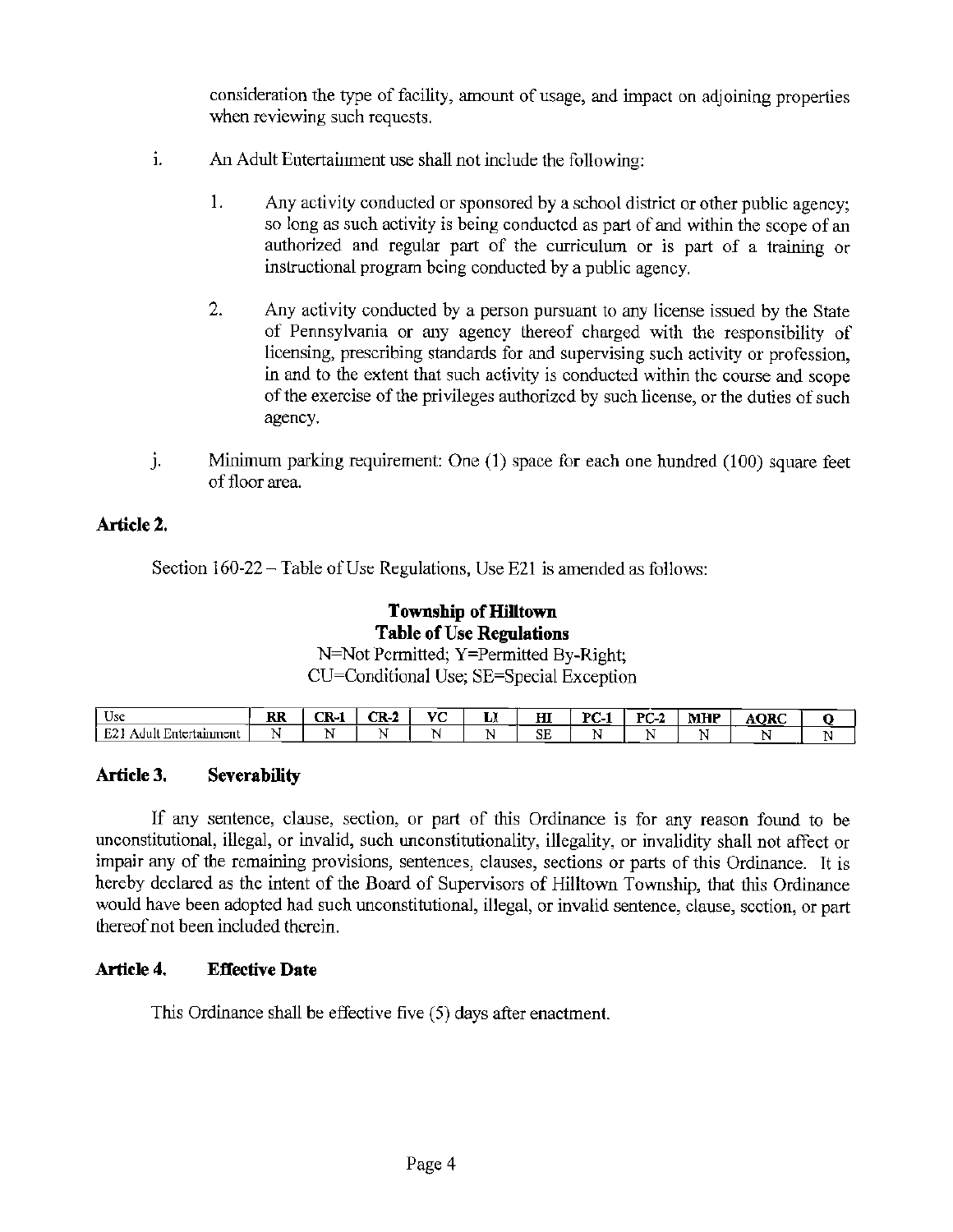consideration the type of facility, amount of usage, and impact on adjoining properties when reviewing such requests.

- i. An Adult Entertainment use shall not include the following:
	- 1. Any activity conducted or sponsored by a school district or other public agency; so long as such activity is being conducted as part of and within the scope of an authorized and regular part of the curriculum or is part of a training or instructional program being conducted by a public agency.
	- 2. Any activity conducted by a person pursuant to any license issued by the State of Pennsylvania or any agency thereof charged with the responsibility of licensing, prescribing standards for and supervising such activity or profession, in and to the extent that such activity is conducted within the course and scope of the exercise of the privileges authorized by such license, or the duties of such agency.
- J. Minimum parking requirement: One (1) space for each one hundred (100) square feet of floor area.

## **Article 2.**

Section 160-22-Table of Use Regulations, Use E21 is amended as follows:

# **Township of Hilltown Table of Use Regulations**

N=Not Permitted; Y=Permitted By-Right; CU=Conditional Use; SE=Special Exception

| $\mathbf{I}$<br>Use               | <b>RR</b> | ~<br>-71- | ÷т.<br>- 11 | U.C<br>- | $ -$<br>ш | ш<br>ш | DC.<br>∼<br> | DC 3<br>- - | MILID<br>MH. | <b>AORC</b> |  |
|-----------------------------------|-----------|-----------|-------------|----------|-----------|--------|--------------|-------------|--------------|-------------|--|
| <b>COL</b><br>-<br>tamment<br>. . | в.        |           |             |          |           | SЕ     |              | --          |              |             |  |

### **Article 3. Severability**

If any sentence, clause, section, or part of this Ordinance is for any reason found to be unconstitutional, illegal, or invalid, such unconstitutionality, illegality, or invalidity shall not affect or impair any of the remaining provisions, sentences, clauses, sections or parts of this Ordinance. It is hereby declared as the intent of the Board of Supervisors of Hilltown Township, that this Ordinance would have been adopted had such unconstitutional, illegal, or invalid sentence, clause, section, or part thereof not been included therein.

### **Article 4. Effective Date**

This Ordinance shall be effective five (5) days after enactment.